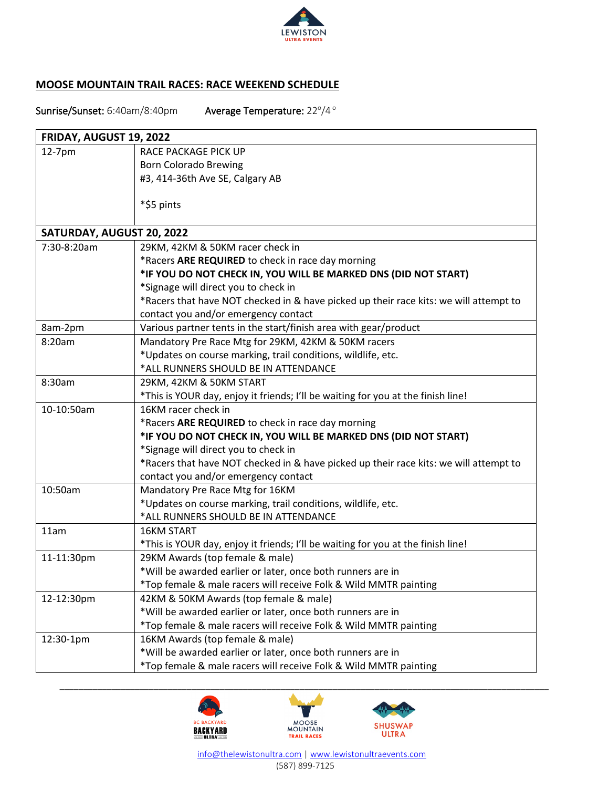

## **MOOSE MOUNTAIN TRAIL RACES: RACE WEEKEND SCHEDULE**

Sunrise/Sunset: 6:40am/8:40pm Average Temperature: 22°/4°

| FRIDAY, AUGUST 19, 2022   |                                                                                       |
|---------------------------|---------------------------------------------------------------------------------------|
| 12-7pm                    | RACE PACKAGE PICK UP                                                                  |
|                           | <b>Born Colorado Brewing</b>                                                          |
|                           | #3, 414-36th Ave SE, Calgary AB                                                       |
|                           |                                                                                       |
|                           | *\$5 pints                                                                            |
|                           |                                                                                       |
| SATURDAY, AUGUST 20, 2022 |                                                                                       |
| 7:30-8:20am               | 29KM, 42KM & 50KM racer check in                                                      |
|                           | *Racers ARE REQUIRED to check in race day morning                                     |
|                           | *IF YOU DO NOT CHECK IN, YOU WILL BE MARKED DNS (DID NOT START)                       |
|                           | *Signage will direct you to check in                                                  |
|                           | *Racers that have NOT checked in & have picked up their race kits: we will attempt to |
|                           | contact you and/or emergency contact                                                  |
| 8am-2pm                   | Various partner tents in the start/finish area with gear/product                      |
| 8:20am                    | Mandatory Pre Race Mtg for 29KM, 42KM & 50KM racers                                   |
|                           | *Updates on course marking, trail conditions, wildlife, etc.                          |
|                           | *ALL RUNNERS SHOULD BE IN ATTENDANCE                                                  |
| 8:30am                    | 29KM, 42KM & 50KM START                                                               |
|                           | *This is YOUR day, enjoy it friends; I'll be waiting for you at the finish line!      |
| 10-10:50am                | 16KM racer check in                                                                   |
|                           | *Racers ARE REQUIRED to check in race day morning                                     |
|                           | *IF YOU DO NOT CHECK IN, YOU WILL BE MARKED DNS (DID NOT START)                       |
|                           | *Signage will direct you to check in                                                  |
|                           | *Racers that have NOT checked in & have picked up their race kits: we will attempt to |
|                           | contact you and/or emergency contact                                                  |
| 10:50am                   | Mandatory Pre Race Mtg for 16KM                                                       |
|                           | *Updates on course marking, trail conditions, wildlife, etc.                          |
|                           | *ALL RUNNERS SHOULD BE IN ATTENDANCE                                                  |
| 11am                      | <b>16KM START</b>                                                                     |
|                           | *This is YOUR day, enjoy it friends; I'll be waiting for you at the finish line!      |
| 11-11:30pm                | 29KM Awards (top female & male)                                                       |
|                           | *Will be awarded earlier or later, once both runners are in                           |
|                           | *Top female & male racers will receive Folk & Wild MMTR painting                      |
| 12-12:30pm                | 42KM & 50KM Awards (top female & male)                                                |
|                           | *Will be awarded earlier or later, once both runners are in                           |
|                           | *Top female & male racers will receive Folk & Wild MMTR painting                      |
| 12:30-1pm                 | 16KM Awards (top female & male)                                                       |
|                           | *Will be awarded earlier or later, once both runners are in                           |
|                           | *Top female & male racers will receive Folk & Wild MMTR painting                      |



 [info@thelewistonultra.com](mailto:info@thelewistonultra.com) | [www.lewistonultraevents.com](http://www.lewistonultraevents.com/) (587) 899-7125